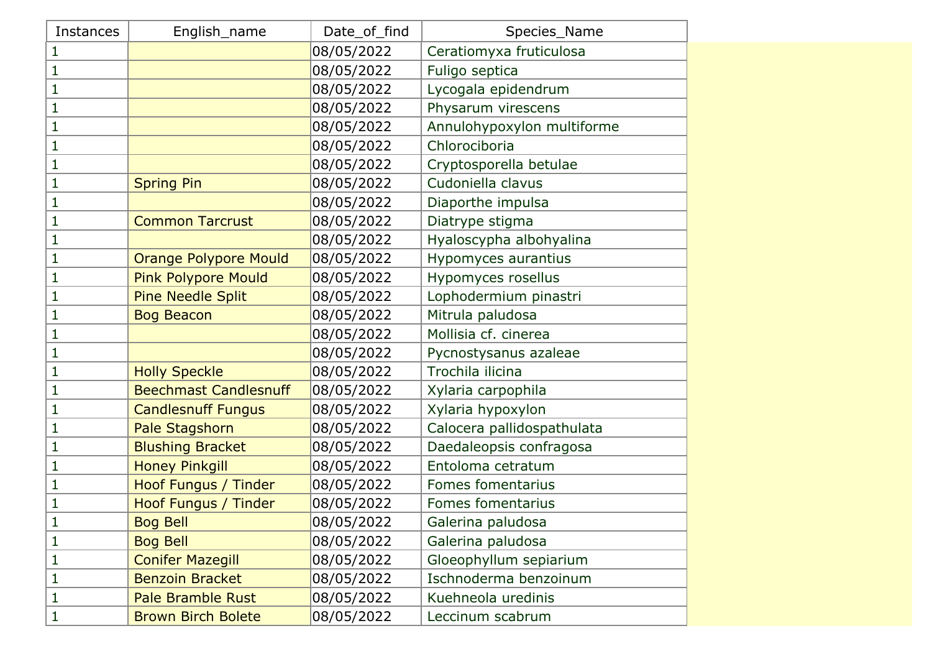| <b>Instances</b> | English_name                 | Date_of_find | Species_Name               |
|------------------|------------------------------|--------------|----------------------------|
| 1                |                              | 08/05/2022   | Ceratiomyxa fruticulosa    |
| 1                |                              | 08/05/2022   | Fuligo septica             |
| 1                |                              | 08/05/2022   | Lycogala epidendrum        |
| 1                |                              | 08/05/2022   | Physarum virescens         |
| 1                |                              | 08/05/2022   | Annulohypoxylon multiforme |
| 1                |                              | 08/05/2022   | Chlorociboria              |
| $\mathbf{1}$     |                              | 08/05/2022   | Cryptosporella betulae     |
| 1                | <b>Spring Pin</b>            | 08/05/2022   | Cudoniella clavus          |
| 1                |                              | 08/05/2022   | Diaporthe impulsa          |
| 1                | <b>Common Tarcrust</b>       | 08/05/2022   | Diatrype stigma            |
| 1                |                              | 08/05/2022   | Hyaloscypha albohyalina    |
| 1                | <b>Orange Polypore Mould</b> | 08/05/2022   | Hypomyces aurantius        |
| 1                | <b>Pink Polypore Mould</b>   | 08/05/2022   | Hypomyces rosellus         |
| 1                | Pine Needle Split            | 08/05/2022   | Lophodermium pinastri      |
| 1                | <b>Bog Beacon</b>            | 08/05/2022   | Mitrula paludosa           |
| 1                |                              | 08/05/2022   | Mollisia cf. cinerea       |
| 1                |                              | 08/05/2022   | Pycnostysanus azaleae      |
| 1                | <b>Holly Speckle</b>         | 08/05/2022   | Trochila ilicina           |
| $\mathbf{1}$     | <b>Beechmast Candlesnuff</b> | 08/05/2022   | Xylaria carpophila         |
| $\mathbf{1}$     | <b>Candlesnuff Fungus</b>    | 08/05/2022   | Xylaria hypoxylon          |
| 1                | Pale Stagshorn               | 08/05/2022   | Calocera pallidospathulata |
| 1                | <b>Blushing Bracket</b>      | 08/05/2022   | Daedaleopsis confragosa    |
| 1                | <b>Honey Pinkgill</b>        | 08/05/2022   | Entoloma cetratum          |
| 1                | Hoof Fungus / Tinder         | 08/05/2022   | Fomes fomentarius          |
| 1                | Hoof Fungus / Tinder         | 08/05/2022   | Fomes fomentarius          |
| 1                | <b>Bog Bell</b>              | 08/05/2022   | Galerina paludosa          |
| 1                | <b>Bog Bell</b>              | 08/05/2022   | Galerina paludosa          |
| $\mathbf{1}$     | <b>Conifer Mazegill</b>      | 08/05/2022   | Gloeophyllum sepiarium     |
| 1                | <b>Benzoin Bracket</b>       | 08/05/2022   | Ischnoderma benzoinum      |
| 1                | <b>Pale Bramble Rust</b>     | 08/05/2022   | Kuehneola uredinis         |
| $\mathbf{1}$     | <b>Brown Birch Bolete</b>    | 08/05/2022   | Leccinum scabrum           |